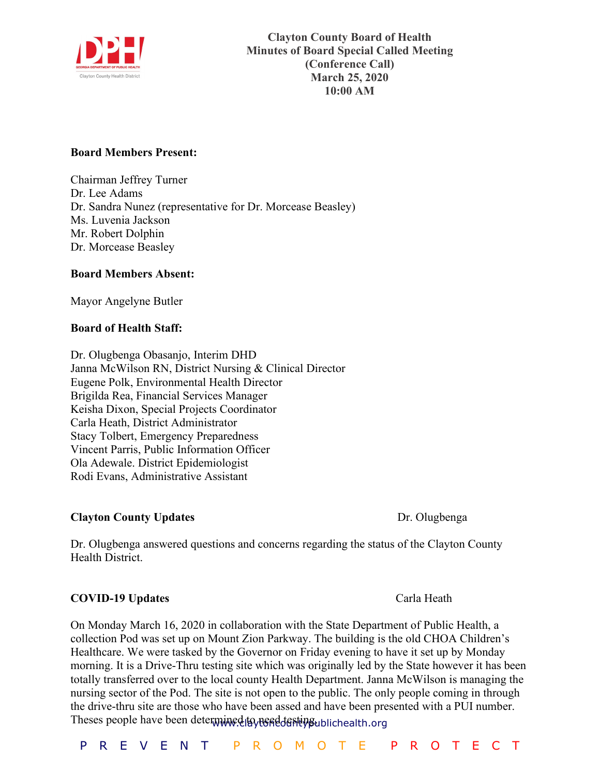

## **Board Members Present:**

Chairman Jeffrey Turner Dr. Lee Adams Dr. Sandra Nunez (representative for Dr. Morcease Beasley) Ms. Luvenia Jackson Mr. Robert Dolphin Dr. Morcease Beasley

## **Board Members Absent:**

Mayor Angelyne Butler

## **Board of Health Staff:**

Dr. Olugbenga Obasanjo, Interim DHD Janna McWilson RN, District Nursing & Clinical Director Eugene Polk, Environmental Health Director Brigilda Rea, Financial Services Manager Keisha Dixon, Special Projects Coordinator Carla Heath, District Administrator Stacy Tolbert, Emergency Preparedness Vincent Parris, Public Information Officer Ola Adewale. District Epidemiologist Rodi Evans, Administrative Assistant

## **Clayton County Updates Dr. Olugbenga**

Dr. Olugbenga answered questions and concerns regarding the status of the Clayton County Health District.

## **COVID-19 Updates** Carla Heath

Theses people have been determined to need testing ublichealth.org On Monday March 16, 2020 in collaboration with the State Department of Public Health, a collection Pod was set up on Mount Zion Parkway. The building is the old CHOA Children's Healthcare. We were tasked by the Governor on Friday evening to have it set up by Monday morning. It is a Drive-Thru testing site which was originally led by the State however it has been totally transferred over to the local county Health Department. Janna McWilson is managing the nursing sector of the Pod. The site is not open to the public. The only people coming in through the drive-thru site are those who have been assed and have been presented with a PUI number.

P R E V E N T P R O M O T E P R O T E C T